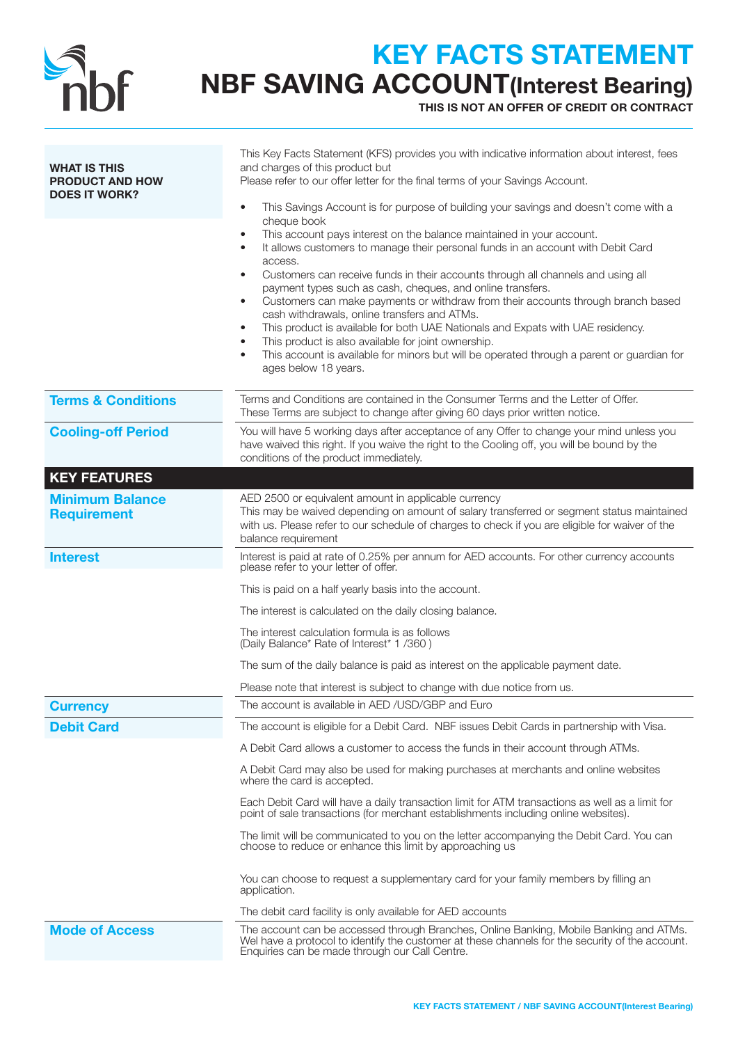

## KEY FACTS STATEMENT NBF SAVING ACCOUNT(Interest Bearing)

THIS IS NOT AN OFFER OF CREDIT OR CONTRACT

| <b>WHAT IS THIS</b><br><b>PRODUCT AND HOW</b><br><b>DOES IT WORK?</b> | This Key Facts Statement (KFS) provides you with indicative information about interest, fees<br>and charges of this product but<br>Please refer to our offer letter for the final terms of your Savings Account.<br>This Savings Account is for purpose of building your savings and doesn't come with a<br>$\bullet$<br>cheque book<br>This account pays interest on the balance maintained in your account.<br>It allows customers to manage their personal funds in an account with Debit Card<br>٠<br>access.<br>Customers can receive funds in their accounts through all channels and using all<br>$\bullet$<br>payment types such as cash, cheques, and online transfers.<br>Customers can make payments or withdraw from their accounts through branch based<br>$\bullet$<br>cash withdrawals, online transfers and ATMs.<br>This product is available for both UAE Nationals and Expats with UAE residency.<br>This product is also available for joint ownership.<br>This account is available for minors but will be operated through a parent or guardian for<br>٠ |
|-----------------------------------------------------------------------|--------------------------------------------------------------------------------------------------------------------------------------------------------------------------------------------------------------------------------------------------------------------------------------------------------------------------------------------------------------------------------------------------------------------------------------------------------------------------------------------------------------------------------------------------------------------------------------------------------------------------------------------------------------------------------------------------------------------------------------------------------------------------------------------------------------------------------------------------------------------------------------------------------------------------------------------------------------------------------------------------------------------------------------------------------------------------------|
|                                                                       | ages below 18 years.                                                                                                                                                                                                                                                                                                                                                                                                                                                                                                                                                                                                                                                                                                                                                                                                                                                                                                                                                                                                                                                           |
| <b>Terms &amp; Conditions</b>                                         | Terms and Conditions are contained in the Consumer Terms and the Letter of Offer.<br>These Terms are subject to change after giving 60 days prior written notice.                                                                                                                                                                                                                                                                                                                                                                                                                                                                                                                                                                                                                                                                                                                                                                                                                                                                                                              |
| <b>Cooling-off Period</b>                                             | You will have 5 working days after acceptance of any Offer to change your mind unless you<br>have waived this right. If you waive the right to the Cooling off, you will be bound by the<br>conditions of the product immediately.                                                                                                                                                                                                                                                                                                                                                                                                                                                                                                                                                                                                                                                                                                                                                                                                                                             |
| <b>KEY FEATURES</b>                                                   |                                                                                                                                                                                                                                                                                                                                                                                                                                                                                                                                                                                                                                                                                                                                                                                                                                                                                                                                                                                                                                                                                |
| <b>Minimum Balance</b><br><b>Requirement</b>                          | AED 2500 or equivalent amount in applicable currency<br>This may be waived depending on amount of salary transferred or segment status maintained<br>with us. Please refer to our schedule of charges to check if you are eligible for waiver of the<br>balance requirement                                                                                                                                                                                                                                                                                                                                                                                                                                                                                                                                                                                                                                                                                                                                                                                                    |
| <b>Interest</b>                                                       | Interest is paid at rate of 0.25% per annum for AED accounts. For other currency accounts<br>please refer to your letter of offer.                                                                                                                                                                                                                                                                                                                                                                                                                                                                                                                                                                                                                                                                                                                                                                                                                                                                                                                                             |
|                                                                       | This is paid on a half yearly basis into the account.                                                                                                                                                                                                                                                                                                                                                                                                                                                                                                                                                                                                                                                                                                                                                                                                                                                                                                                                                                                                                          |
|                                                                       | The interest is calculated on the daily closing balance.                                                                                                                                                                                                                                                                                                                                                                                                                                                                                                                                                                                                                                                                                                                                                                                                                                                                                                                                                                                                                       |
|                                                                       | The interest calculation formula is as follows<br>(Daily Balance* Rate of Interest* 1 /360)                                                                                                                                                                                                                                                                                                                                                                                                                                                                                                                                                                                                                                                                                                                                                                                                                                                                                                                                                                                    |
|                                                                       | The sum of the daily balance is paid as interest on the applicable payment date.                                                                                                                                                                                                                                                                                                                                                                                                                                                                                                                                                                                                                                                                                                                                                                                                                                                                                                                                                                                               |
|                                                                       | Please note that interest is subject to change with due notice from us.                                                                                                                                                                                                                                                                                                                                                                                                                                                                                                                                                                                                                                                                                                                                                                                                                                                                                                                                                                                                        |
| <b>Currency</b>                                                       | The account is available in AED /USD/GBP and Euro                                                                                                                                                                                                                                                                                                                                                                                                                                                                                                                                                                                                                                                                                                                                                                                                                                                                                                                                                                                                                              |
| <b>Debit Card</b>                                                     | The account is eligible for a Debit Card. NBF issues Debit Cards in partnership with Visa.                                                                                                                                                                                                                                                                                                                                                                                                                                                                                                                                                                                                                                                                                                                                                                                                                                                                                                                                                                                     |
|                                                                       | A Debit Card allows a customer to access the funds in their account through ATMs.                                                                                                                                                                                                                                                                                                                                                                                                                                                                                                                                                                                                                                                                                                                                                                                                                                                                                                                                                                                              |
|                                                                       | A Debit Card may also be used for making purchases at merchants and online websites<br>where the card is accepted.                                                                                                                                                                                                                                                                                                                                                                                                                                                                                                                                                                                                                                                                                                                                                                                                                                                                                                                                                             |
|                                                                       | Each Debit Card will have a daily transaction limit for ATM transactions as well as a limit for<br>point of sale transactions (for merchant establishments including online websites).                                                                                                                                                                                                                                                                                                                                                                                                                                                                                                                                                                                                                                                                                                                                                                                                                                                                                         |
|                                                                       | The limit will be communicated to you on the letter accompanying the Debit Card. You can<br>choose to reduce or enhance this limit by approaching us                                                                                                                                                                                                                                                                                                                                                                                                                                                                                                                                                                                                                                                                                                                                                                                                                                                                                                                           |
|                                                                       | You can choose to request a supplementary card for your family members by filling an<br>application.                                                                                                                                                                                                                                                                                                                                                                                                                                                                                                                                                                                                                                                                                                                                                                                                                                                                                                                                                                           |
|                                                                       | The debit card facility is only available for AED accounts                                                                                                                                                                                                                                                                                                                                                                                                                                                                                                                                                                                                                                                                                                                                                                                                                                                                                                                                                                                                                     |
| <b>Mode of Access</b>                                                 | The account can be accessed through Branches, Online Banking, Mobile Banking and ATMs.<br>Wel have a protocol to identify the customer at these channels for the security of the account.<br>Enquiries can be made through our Call Centre.                                                                                                                                                                                                                                                                                                                                                                                                                                                                                                                                                                                                                                                                                                                                                                                                                                    |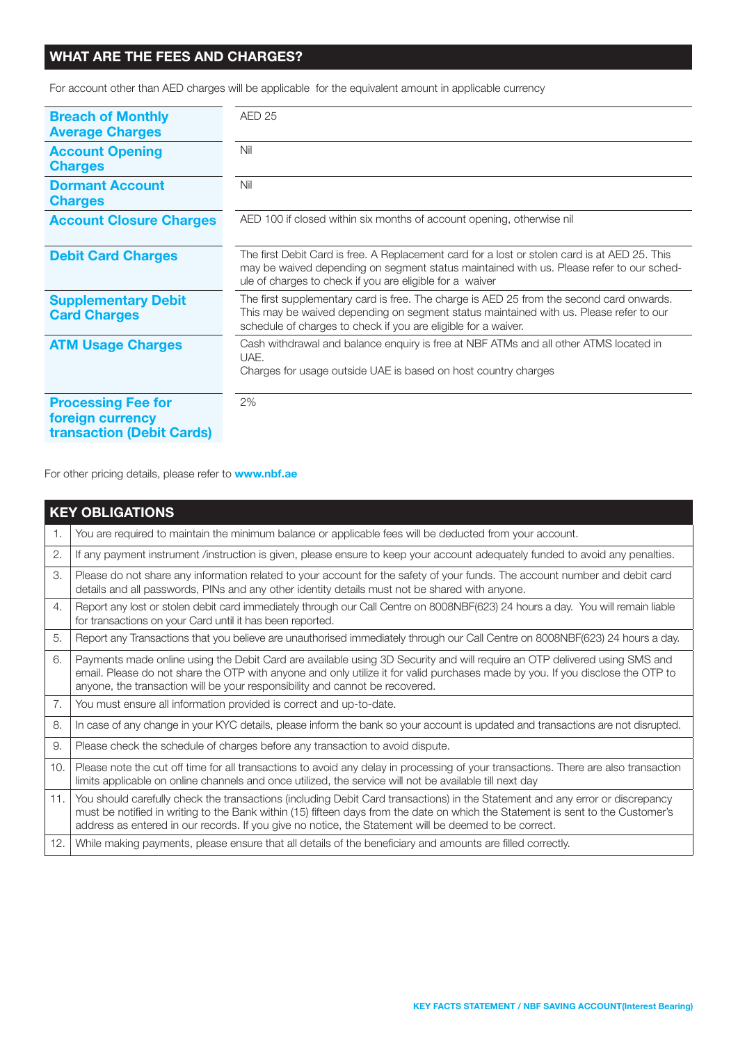### WHAT ARE THE FEES AND CHARGES?

For account other than AED charges will be applicable for the equivalent amount in applicable currency

| <b>Breach of Monthly</b><br><b>Average Charges</b>                                | <b>AED 25</b>                                                                                                                                                                                                                                         |
|-----------------------------------------------------------------------------------|-------------------------------------------------------------------------------------------------------------------------------------------------------------------------------------------------------------------------------------------------------|
| <b>Account Opening</b><br><b>Charges</b>                                          | Nil                                                                                                                                                                                                                                                   |
| <b>Dormant Account</b><br><b>Charges</b>                                          | Nil                                                                                                                                                                                                                                                   |
| <b>Account Closure Charges</b>                                                    | AED 100 if closed within six months of account opening, otherwise nil                                                                                                                                                                                 |
| <b>Debit Card Charges</b>                                                         | The first Debit Card is free. A Replacement card for a lost or stolen card is at AED 25. This<br>may be waived depending on segment status maintained with us. Please refer to our sched-<br>ule of charges to check if you are eligible for a waiver |
| <b>Supplementary Debit</b><br><b>Card Charges</b>                                 | The first supplementary card is free. The charge is AED 25 from the second card onwards.<br>This may be waived depending on segment status maintained with us. Please refer to our<br>schedule of charges to check if you are eligible for a waiver.  |
| <b>ATM Usage Charges</b>                                                          | Cash withdrawal and balance enquiry is free at NBF ATMs and all other ATMS located in<br>UAE.<br>Charges for usage outside UAE is based on host country charges                                                                                       |
| <b>Processing Fee for</b><br>foreign currency<br><b>transaction (Debit Cards)</b> | 2%                                                                                                                                                                                                                                                    |

For other pricing details, please refer to **www.nbf.ae** 

| <b>KEY OBLIGATIONS</b> |                                                                                                                                                                                                                                                                                                                                                                           |  |
|------------------------|---------------------------------------------------------------------------------------------------------------------------------------------------------------------------------------------------------------------------------------------------------------------------------------------------------------------------------------------------------------------------|--|
| 1.                     | You are required to maintain the minimum balance or applicable fees will be deducted from your account.                                                                                                                                                                                                                                                                   |  |
| $\mathbf{2}$           | If any payment instrument /instruction is given, please ensure to keep your account adequately funded to avoid any penalties.                                                                                                                                                                                                                                             |  |
| 3.                     | Please do not share any information related to your account for the safety of your funds. The account number and debit card<br>details and all passwords, PINs and any other identity details must not be shared with anyone.                                                                                                                                             |  |
| $\overline{4}$ .       | Report any lost or stolen debit card immediately through our Call Centre on 8008NBF(623) 24 hours a day. You will remain liable<br>for transactions on your Card until it has been reported.                                                                                                                                                                              |  |
| 5.                     | Report any Transactions that you believe are unauthorised immediately through our Call Centre on 8008NBF(623) 24 hours a day.                                                                                                                                                                                                                                             |  |
| 6.                     | Payments made online using the Debit Card are available using 3D Security and will require an OTP delivered using SMS and<br>email. Please do not share the OTP with anyone and only utilize it for valid purchases made by you. If you disclose the OTP to<br>anyone, the transaction will be your responsibility and cannot be recovered.                               |  |
| 7.                     | You must ensure all information provided is correct and up-to-date.                                                                                                                                                                                                                                                                                                       |  |
| 8.                     | In case of any change in your KYC details, please inform the bank so your account is updated and transactions are not disrupted.                                                                                                                                                                                                                                          |  |
| 9.                     | Please check the schedule of charges before any transaction to avoid dispute.                                                                                                                                                                                                                                                                                             |  |
| 10.                    | Please note the cut off time for all transactions to avoid any delay in processing of your transactions. There are also transaction<br>limits applicable on online channels and once utilized, the service will not be available till next day                                                                                                                            |  |
| 11.                    | You should carefully check the transactions (including Debit Card transactions) in the Statement and any error or discrepancy<br>must be notified in writing to the Bank within (15) fifteen days from the date on which the Statement is sent to the Customer's<br>address as entered in our records. If you give no notice, the Statement will be deemed to be correct. |  |
| 12.                    | While making payments, please ensure that all details of the beneficiary and amounts are filled correctly.                                                                                                                                                                                                                                                                |  |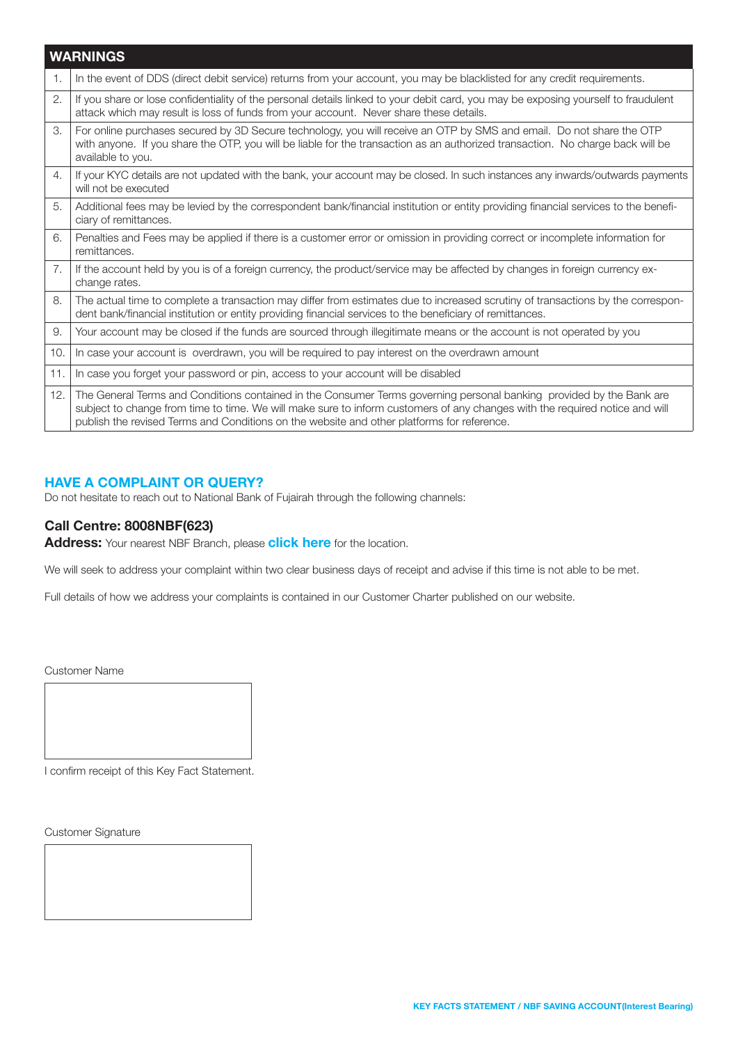|                | <b>WARNINGS</b>                                                                                                                                                                                                                                                                                                                                   |
|----------------|---------------------------------------------------------------------------------------------------------------------------------------------------------------------------------------------------------------------------------------------------------------------------------------------------------------------------------------------------|
| $\mathbf{1}$ . | In the event of DDS (direct debit service) returns from your account, you may be blacklisted for any credit requirements.                                                                                                                                                                                                                         |
| 2.             | If you share or lose confidentiality of the personal details linked to your debit card, you may be exposing yourself to fraudulent<br>attack which may result is loss of funds from your account. Never share these details.                                                                                                                      |
| 3.             | For online purchases secured by 3D Secure technology, you will receive an OTP by SMS and email. Do not share the OTP<br>with anyone. If you share the OTP, you will be liable for the transaction as an authorized transaction. No charge back will be<br>available to you.                                                                       |
| 4.             | If your KYC details are not updated with the bank, your account may be closed. In such instances any inwards/outwards payments<br>will not be executed                                                                                                                                                                                            |
| 5.             | Additional fees may be levied by the correspondent bank/financial institution or entity providing financial services to the benefi-<br>ciary of remittances.                                                                                                                                                                                      |
| 6.             | Penalties and Fees may be applied if there is a customer error or omission in providing correct or incomplete information for<br>remittances.                                                                                                                                                                                                     |
| 7.             | If the account held by you is of a foreign currency, the product/service may be affected by changes in foreign currency ex-<br>change rates.                                                                                                                                                                                                      |
| 8.             | The actual time to complete a transaction may differ from estimates due to increased scrutiny of transactions by the correspon-<br>dent bank/financial institution or entity providing financial services to the beneficiary of remittances.                                                                                                      |
| 9.             | Your account may be closed if the funds are sourced through illegitimate means or the account is not operated by you                                                                                                                                                                                                                              |
| 10.            | In case your account is overdrawn, you will be required to pay interest on the overdrawn amount                                                                                                                                                                                                                                                   |
| 11.            | In case you forget your password or pin, access to your account will be disabled                                                                                                                                                                                                                                                                  |
| 12.            | The General Terms and Conditions contained in the Consumer Terms governing personal banking provided by the Bank are<br>subject to change from time to time. We will make sure to inform customers of any changes with the required notice and will<br>publish the revised Terms and Conditions on the website and other platforms for reference. |

### HAVE A COMPLAINT OR QUERY?

Do not hesitate to reach out to National Bank of Fujairah through the following channels:

### Call Centre: 8008NBF(623)

Address: Your nearest NBF Branch, please [click here](https://nbf.ae/en/contact/locations) for the location.

We will seek to address your complaint within two clear business days of receipt and advise if this time is not able to be met.

Full details of how we address your complaints is contained in our Customer Charter published on our website.

Customer Name

I confirm receipt of this Key Fact Statement.

Customer Signature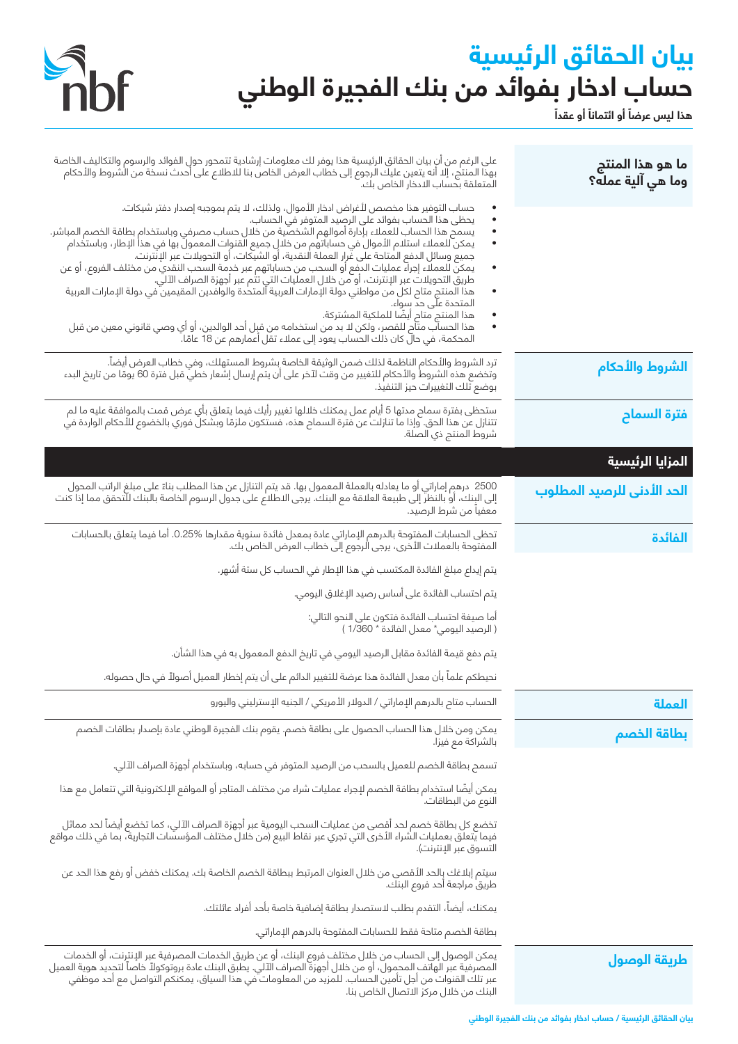# **بيان الحقائق الرئيسية** حساب ادخار بفوائد من بنك الفجيرة الوطني<br>هذا ليس عرضاَ أو الثمانا<sup>َ أو عقداً</sup>



| ما هو هذا المنتج<br>وما هي آلية عمله؟ | على الرغم من انِ بيان الحقائق الرئيسية هذا يوفر لك معلومات إرشادية تتمحور حولِ الفوائد والرسوم والتكاليف الخاصة<br>بهذا المنتج، إلا أنه يتعين عليك الرجوع إلى خطاب العرض الخاص بنا للاطلاع على أحدث نسخة من الشروط والأحكام<br>المتعلقة بحساب الادخار الخاص بك.                                                                                                                                                                                                                                                                                                                                                                                                                                                                                                                                                                                                                                                                                                                                             |
|---------------------------------------|-------------------------------------------------------------------------------------------------------------------------------------------------------------------------------------------------------------------------------------------------------------------------------------------------------------------------------------------------------------------------------------------------------------------------------------------------------------------------------------------------------------------------------------------------------------------------------------------------------------------------------------------------------------------------------------------------------------------------------------------------------------------------------------------------------------------------------------------------------------------------------------------------------------------------------------------------------------------------------------------------------------|
|                                       | حساب التوفير هذا مخصص لأغراض ادخار الأموال، ولذلك، لا يتم بموجبه إصدار دفتر شيكات.<br>يحظى هذا الحساب بفوائد على الرصيد المتوفر في الحساب.<br>يسمح هذا الحساب للعملاء بإدارة أموالهم الشخصية من خلال حساب مصرفي وباستخدام بطاقة الخصم المباشر.<br>يمكن للعملاء استلام الأموال في حساباتهم من خلالِ جميع القنوات المعمولَ بها في هذا الإطار، وباستخدام<br>جميع وسائل الدفع المتاحة على غرار العملة النقدية، أو الشيكات، أو التحويلات عبر الإنترنت.<br>يمكن للعملاء إجراء عمليات الدفع أو السحب من حساباتهم عبر خدِمة السحب النقدي من مختلف الفروع، أو عن<br>طريق التحويلات عبر الإنترنت، أو من خلال العمليات التي تتْم عبر أجهزة الصراف الآلي.<br>هذا المنتج متاح لكل من مواطني دولة الإمارات العربية المتحدة والوافدين المقيمين في دولة الإمارات العربية<br>المتحدة علّى حدّ سواء.<br>هذا المنتج متاح أيضًا للملكية المشتركة.<br>هذا الحساب متاّم للقصر، ولكن لا بد من استخدامه من قبل أحد الوالدين، أو أي وصي قانوني معين من قبل<br>المحكمة، في حال كان ذلك الحساب يعود إلى عملاء تقل أعمارهم عن 18 عامًا. |
| الشروط والأحكام                       | ترد الشروط والأحكام الناظمة لذلك ضمن الوثيقة الخاصة بشروط المستهلك، وفي خطاب العرض أيضاً.<br>وتخضع هذه الشروط والأحكام للتغيير من وقت لآخر على أن يتم إرسال إشعار خطي قبل فترة 60 يومًا من تاريخ البدء<br>-------------------------<br>بوضع تلك التغييرات حيز التنفيذ.                                                                                                                                                                                                                                                                                                                                                                                                                                                                                                                                                                                                                                                                                                                                      |
| <mark>فترة السما</mark> ح             | ستحظى بفترة سماح مدتها 5 أيام عمل يمكنك خلالها تغيير رأيك فيما يتعلق بأي عرض قمت بالموافقة عليه ما لم<br>تتنازل عن هذا الحق. وإذا ما تنازلت عن فترة السماح هذه، فستكون ملزمًا وبشكل فوري بالخضوع للأحكام الواردة في<br>شروط المنتج ذي الصلة.                                                                                                                                                                                                                                                                                                                                                                                                                                                                                                                                                                                                                                                                                                                                                                |
| المزايا الرئيسية                      |                                                                                                                                                                                                                                                                                                                                                                                                                                                                                                                                                                                                                                                                                                                                                                                                                                                                                                                                                                                                             |
| الحد الأدنى للرصيد المطلوب            | 2500  درهم إماراتي أو ما يعادله بالعملة المعمول بها. قد يتم التنازل عن هذا المطلب بناءً على مبلغ الراتب المحول<br>إلى البٍنك، أو بالنظر إلى طبيعة العلاقة مع البنك. يرجى الاطلاع على جدول الرسوم الخاصة بالبنك للتحقق مما إذا كن<br>معفياً من شرط الرصيد.                                                                                                                                                                                                                                                                                                                                                                                                                                                                                                                                                                                                                                                                                                                                                   |
| الفائدة                               | تحظى الحسابات المفتوحة بالدرهم الإماراتي عادة بمعدل فائدة سنوية مقدارها %0.25. أما فيما يتعلق بالحسابات<br>المفتوحة بالعملات الأخرى، يرجى الرجوع إلى خطاب العرض الخاص بك.                                                                                                                                                                                                                                                                                                                                                                                                                                                                                                                                                                                                                                                                                                                                                                                                                                   |
|                                       | يتم إيداع مبلغ الفائدة المكتسب في هذا الإطار في الحساب كل ستة أشهر.                                                                                                                                                                                                                                                                                                                                                                                                                                                                                                                                                                                                                                                                                                                                                                                                                                                                                                                                         |
|                                       | يتم احتساب الفائدة على أساس رصيد الإغلاق اليومي.                                                                                                                                                                                                                                                                                                                                                                                                                                                                                                                                                                                                                                                                                                                                                                                                                                                                                                                                                            |
|                                       | أما صيغة احتساب الفائدة فتكون على النحو التالي:<br>( الرصيد اليومي* معدل الفائدة * 1/360 )                                                                                                                                                                                                                                                                                                                                                                                                                                                                                                                                                                                                                                                                                                                                                                                                                                                                                                                  |
|                                       | يتم دفع قيمة الفائدة مقابل الرصيد اليومي في تاريخ الدفع المعمول به في هذا الشأن.                                                                                                                                                                                                                                                                                                                                                                                                                                                                                                                                                                                                                                                                                                                                                                                                                                                                                                                            |
|                                       | نحيطكم علماً بأن معدل الفائدة هذا عرضة للتغيير الدائم على أن يتم إخطار العميل أصولاً في حال حصوله.                                                                                                                                                                                                                                                                                                                                                                                                                                                                                                                                                                                                                                                                                                                                                                                                                                                                                                          |
| العملة                                | الحساب متاح بالدرهم الإماراتي / الدولار الأمريكي / الجنيه الإسترليني واليورو                                                                                                                                                                                                                                                                                                                                                                                                                                                                                                                                                                                                                                                                                                                                                                                                                                                                                                                                |
| بطاقة الخصم                           | يمكن ومن خلال هذا الحساب الحصول على بطاقة خصم. يقوم بنك الفجيرة الوطني عادة بإصدار بطاقات الخصم<br>بالشراكة مع فيزا.                                                                                                                                                                                                                                                                                                                                                                                                                                                                                                                                                                                                                                                                                                                                                                                                                                                                                        |
|                                       | تسمح بطاقة الخصم للعميل بالسحب من الرصيد المتوفر في حسابه، وباستخدام أجهزة الصراف الآلي.                                                                                                                                                                                                                                                                                                                                                                                                                                                                                                                                                                                                                                                                                                                                                                                                                                                                                                                    |
|                                       | يمكن أيضًا استخدام بطاقة الخصم لإجراء عمليات شراء من مختلف المتاجر أو المواقع الإلكترونية التي تتعامل مع هذا<br>النوع من البطاقات.                                                                                                                                                                                                                                                                                                                                                                                                                                                                                                                                                                                                                                                                                                                                                                                                                                                                          |
|                                       | تخضع كل بطاقة خصم لحد أقصى من عمليات السحب اليومية عبر أجهزة الصراف الآلي، كما تخضع أيضاً لحد مماثل<br>شما يتعلق بعمليات الشراء الأخرى التي تجري عبر نقاط البيع (من خلال مختلف المؤسسات التجارية، بما في ذلك مواقع<br>التسوق عبر الإنترنت).                                                                                                                                                                                                                                                                                                                                                                                                                                                                                                                                                                                                                                                                                                                                                                 |
|                                       | سيتم إبلاغك بالحد الأقصى من خلال العنوان المرتبط ببطاقة الخصم الخاصة بك. يمكنك خفض أو رفع هذا الحد عن<br>طريق مراجعة أحد فروع البنك.                                                                                                                                                                                                                                                                                                                                                                                                                                                                                                                                                                                                                                                                                                                                                                                                                                                                        |
|                                       | يمكنك، أيضاً، التقدم بطلب لاستصدار بطاقة إضافية خاصة بأحد أفراد عائلتك.                                                                                                                                                                                                                                                                                                                                                                                                                                                                                                                                                                                                                                                                                                                                                                                                                                                                                                                                     |
|                                       | بطاقة الخصم متاحة فقط للحسابات المفتوحة بالدرهم الإماراتى.                                                                                                                                                                                                                                                                                                                                                                                                                                                                                                                                                                                                                                                                                                                                                                                                                                                                                                                                                  |
| طريقة الوصول                          | يمكن الوصول إلى الحساب من خلال مختلف فروع البنك، أو عن طريق الخدمات المصرفية عبر الإنترنت، أو الخدمات<br>المصرفية عبر الهاتف المحمول، أو من خلال أجهزة الصراف الآلي. يطبق البنك عادة بروتوكولاً خاصاً لتحديد هوية العميل<br>عبر تلك القنوات من أجل تأمين الحساب. للمزيد من المعلومات َّفي هذا السياق، يمكنكم التواصل مع أحد موظفي<br>البنك من خلال مركز الاتصال الخاص بنا.                                                                                                                                                                                                                                                                                                                                                                                                                                                                                                                                                                                                                                  |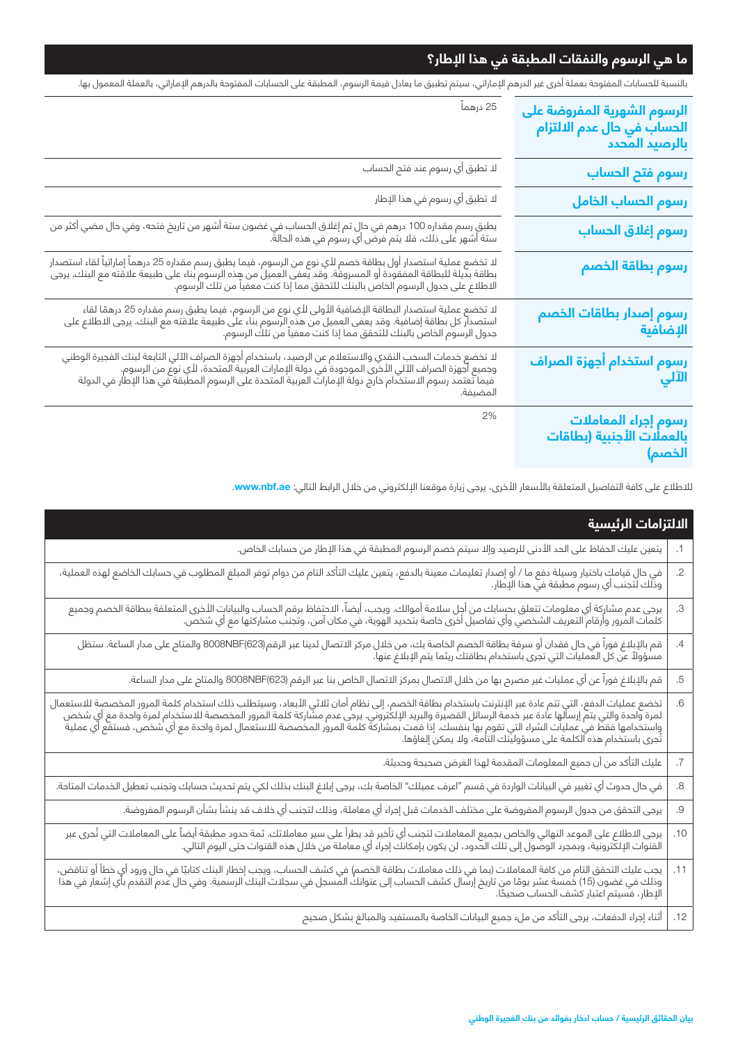## **ما هي الرسوم والنفقات المطبقة في هذا اإلطار؟**

بالنسبة للحسابات المفتوحة بعملة أخرى غير الدرهم اإلماراتي، سيتم تطبيق ما يعادل قيمة الرسوم، المطبقة على الحسابات المفتوحة بالدرهم اإلماراتي، بالعملة المعمول بها.

| الرسوم الشهرية المفروضة على<br>الحساب في حال عدم الالتزام<br>بالرصيد المحدد | 25 درهماً                                                                                                                                                                                                                                       |
|-----------------------------------------------------------------------------|-------------------------------------------------------------------------------------------------------------------------------------------------------------------------------------------------------------------------------------------------|
| رسوم فتح الحساب                                                             | لا تطبق أي رسوم عند فتح الحساب                                                                                                                                                                                                                  |
| رسوم الحساب الخامل                                                          | لا تطبق أي رسوم في هذا الإطار                                                                                                                                                                                                                   |
| رسوم إغلاق الحساب                                                           | يطبق رسم مقداره 100 درهم في حال تم إغلاق الحساب في غضون ستة أشهر من تاريخ فتحه، وفي حال مضي أكثر من<br>ستة أشهر على ذلك، فلا يتم فرض أي رسوم في هذه الحالة.                                                                                     |
| رسوم بطاقة الخصم                                                            | لا تخضع عملية استصدار أول بطاقة خصم لأي نوع من الرسوم، فيما يطبق رسم مقداره 25 درهماً إماراتياً لقاء استصدار<br>بطاقة بديلة للبطاقة المفقودة أو المسروقة. وقد يعفى العميل من هذه الرسوم بناء على طبيعة علاقته مع البنك. يرجى<br>الا             |
| رسوم إصدار بطاقات الخصم<br>الإضافية                                         | لا تخضع عملية استصدار البطاقة الإضافية الأولى لأي نوع من الرسوم، فيما يطبق رسم مقداره 25 درهمًا لقاء<br>استصدار كل بطاقة إضافية. وقد يعفى العميل من هذه الرسوم بناء على طبيعة علاقته مع البنك. يرجى الاطلاع على<br>جدول الرسوم الخا             |
| رسوم استخدام أجهزة الصراف<br>الآلي                                          | لا تخضع خدمات السحب النقدي والاستعلام عن الرصيد، باستخدام أجهزة الصراف الآلي التابعة لبنك الفجيرة الوطني<br>وجميع أجهزة الصراف الآلي الأخرى الموجودة في دولة الإمارات العربية المتحدة، لأي نوع من الرسوم.<br>" فيما يتصد رسوم الاست<br>المضيفة. |
| رسوم إجراء المعاملات<br>بالعملات الأجنبية (بطاقات<br>الخصم)                 | 2%                                                                                                                                                                                                                                              |

للاطلاع على كافة التفاصيل المتعلقة بالأسعار الأخرى، يرجى زيارة موقعنا الإلكتروني من خلال الرابط التالي: **www.nbf.ae.** 

| الالتزامات الرئيسية                                                                                                                                                                                                              |            |
|----------------------------------------------------------------------------------------------------------------------------------------------------------------------------------------------------------------------------------|------------|
| يتعين عليك الحفاظ على الحد الأدنى للرصيد وإلا سيتم خصم الرسوم المطبقة في هذا الإطار من حسابك الخاص.                                                                                                                              | $\cdot$ 1  |
| .<br>في حال قيامك باختيار وسيلة دفع ما / أو إصدار تعليمات معينة بالدفع، يتعين عليك التأكد التام من دوام توفر المبلغ المطلوب في حسابك الخاضع لهذه العملية،<br>وذلك لتجنب أي رسوم مطبقة في هذا الإطار.                             | $\cdot$ .2 |
| يرجى عدم مشاركة أي معلومات تتعلق بحسابك من أجل سلامة أموالك. ويجب، أيضاً، الاحتفاظ برقم الحساب والبيانات الأخرى المتعلقة ببطاقة الخصم وجميع<br>كلمات المرور وأرقام التعريف الشخصي وأي تفاصيل أخرى خاصة بتحديد الهوية، في مكان آم | З.         |
| قم بالإبلاغ فوراً في حال فقدان أو سرقة بطاقة الخصم الخاصة بك، من خلال مركز الاتصال لدينا عبر الرقم(8008NBF(623 والمتاح على مدار الساعة. ستظل<br>مسؤولاً عن كل العمليات التي تجرى باستخدام بطاقتك ريثما يتم الإبلاغ عنها.         | $.4\,$     |
| قم بالإبلاغ فوراً عن أي عمليات غير مصرح بها من خلال الاتصال بمركز الاتصال الخاص بنا عبر الرقم (8008NBF(623 والمتاح على مدار الساعة.                                                                                              | .5         |
| تخضع عمليات الدفع، التي تتم عادة عبر الإنترنت باستخدام بطاقة الخصم، إلى نظام أمان ثلاثي الأبعاد، وسيتطلب ذلك استخدام كلمة المرور المخصصة للاستعمال<br>لمرة واحدة والتي يتم إرسالها عادة عبر خدمة الرسائل القصيرة والبريد الإلكتر | .6         |
| عليك التأكد من أن جميع المعلومات المقدمة لهذا الغرض صحيحة وحديثة.                                                                                                                                                                | .7         |
| في حال حدوث أي تغيير في البيانات الواردة في قسم "اعرف عميلك" الخاصة بك، يرجى إبلاغ البنك بذلك لكي يتم تحديث حسابك وتجنب تعطيل الخدمات المتاحة.                                                                                   | $.8\,$     |
| يرجى التحقق من جدول الرسوم المفروضة على مختلف الخدمات قبل إجراء أي معاملة، وذلك لتجنب أي خلاف قد ينشأ بشأن الرسوم المفروضة.                                                                                                      | .9         |
| يرجى الاطلاع على الموعد النهائي والخاص بجميع المعاملات لتجنب أي تأخير قد يطرأ على سير معاملاتك. ثمة حدود مطبقة أيضاً على المعاملات التي تُجرى عبر<br>القنوات الإلكترونية، وبمجرد الوصول إلى تلك الحدود، لن يكون بإمكانك إجراء أي | .10        |
| يجب عليك التحقق التام من كافة المعاملات (بما في ذلك معاملات بطاقة الخصم) في كشف الحساب، ويجب إخطار البنك كتابيًا في حال ورود أي خطأ أو تناقض،<br>وذلك في غضون (15) خمسة عشر يومًا من تاريخ إرسال كشف الحساب إلى عنوانك المسجل في | .11        |
| 12.   أثناء إجراء الدفعات، يرجى التأكد من ملء جميع البيانات الخاصة بالمستفيد والمبالغ بشكل صحيح                                                                                                                                  |            |